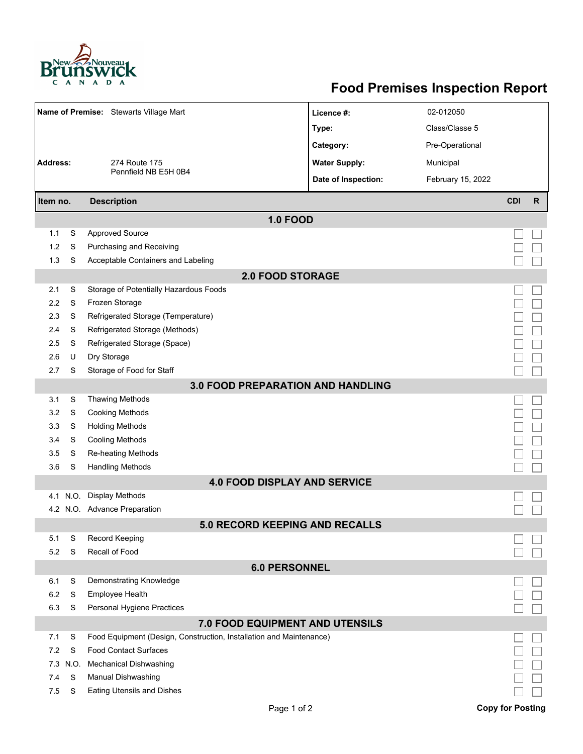

## **Food Premises Inspection Report**

| Name of Premise: Stewarts Village Mart |                                |                                                                     | Licence #:           | 02-012050         |                         |              |  |  |  |  |  |  |
|----------------------------------------|--------------------------------|---------------------------------------------------------------------|----------------------|-------------------|-------------------------|--------------|--|--|--|--|--|--|
|                                        |                                |                                                                     | Type:                | Class/Classe 5    |                         |              |  |  |  |  |  |  |
|                                        |                                |                                                                     | Category:            | Pre-Operational   |                         |              |  |  |  |  |  |  |
| <b>Address:</b><br>274 Route 175       |                                |                                                                     | <b>Water Supply:</b> | Municipal         |                         |              |  |  |  |  |  |  |
|                                        |                                | Pennfield NB E5H 0B4                                                | Date of Inspection:  | February 15, 2022 |                         |              |  |  |  |  |  |  |
|                                        |                                |                                                                     |                      |                   | <b>CDI</b>              | $\mathsf{R}$ |  |  |  |  |  |  |
|                                        | <b>Description</b><br>Item no. |                                                                     |                      |                   |                         |              |  |  |  |  |  |  |
|                                        |                                | <b>1.0 FOOD</b>                                                     |                      |                   |                         |              |  |  |  |  |  |  |
| 1.1                                    | S                              | <b>Approved Source</b>                                              |                      |                   |                         |              |  |  |  |  |  |  |
| 1.2                                    | S                              | Purchasing and Receiving                                            |                      |                   |                         |              |  |  |  |  |  |  |
| 1.3                                    | S                              | Acceptable Containers and Labeling                                  |                      |                   |                         |              |  |  |  |  |  |  |
| <b>2.0 FOOD STORAGE</b>                |                                |                                                                     |                      |                   |                         |              |  |  |  |  |  |  |
| 2.1                                    | S                              | Storage of Potentially Hazardous Foods                              |                      |                   |                         |              |  |  |  |  |  |  |
| 2.2                                    | S                              | Frozen Storage                                                      |                      |                   |                         |              |  |  |  |  |  |  |
| 2.3                                    | S                              | Refrigerated Storage (Temperature)                                  |                      |                   |                         |              |  |  |  |  |  |  |
| 2.4                                    | S                              | Refrigerated Storage (Methods)                                      |                      |                   |                         |              |  |  |  |  |  |  |
| 2.5                                    | S                              | Refrigerated Storage (Space)                                        |                      |                   |                         |              |  |  |  |  |  |  |
| 2.6                                    | U                              | Dry Storage                                                         |                      |                   |                         |              |  |  |  |  |  |  |
| 2.7                                    | S                              | Storage of Food for Staff                                           |                      |                   |                         |              |  |  |  |  |  |  |
|                                        |                                | 3.0 FOOD PREPARATION AND HANDLING                                   |                      |                   |                         |              |  |  |  |  |  |  |
| 3.1                                    | S                              | <b>Thawing Methods</b>                                              |                      |                   |                         |              |  |  |  |  |  |  |
| 3.2                                    | S                              | <b>Cooking Methods</b>                                              |                      |                   |                         |              |  |  |  |  |  |  |
| 3.3                                    | S                              | <b>Holding Methods</b>                                              |                      |                   |                         |              |  |  |  |  |  |  |
| 3.4                                    | S                              | <b>Cooling Methods</b>                                              |                      |                   |                         |              |  |  |  |  |  |  |
| 3.5                                    | S                              | Re-heating Methods                                                  |                      |                   |                         |              |  |  |  |  |  |  |
| 3.6                                    | S                              | <b>Handling Methods</b>                                             |                      |                   |                         |              |  |  |  |  |  |  |
|                                        |                                | <b>4.0 FOOD DISPLAY AND SERVICE</b>                                 |                      |                   |                         |              |  |  |  |  |  |  |
| 4.1                                    | N.O.                           | <b>Display Methods</b>                                              |                      |                   |                         |              |  |  |  |  |  |  |
|                                        |                                | 4.2 N.O. Advance Preparation                                        |                      |                   |                         |              |  |  |  |  |  |  |
|                                        |                                | <b>5.0 RECORD KEEPING AND RECALLS</b>                               |                      |                   |                         |              |  |  |  |  |  |  |
| 5.1                                    | S                              | Record Keeping                                                      |                      |                   |                         |              |  |  |  |  |  |  |
| 5.2                                    | S                              | Recall of Food                                                      |                      |                   |                         |              |  |  |  |  |  |  |
|                                        |                                | <b>6.0 PERSONNEL</b>                                                |                      |                   |                         |              |  |  |  |  |  |  |
| 6.1                                    | S                              | Demonstrating Knowledge                                             |                      |                   |                         |              |  |  |  |  |  |  |
| 6.2                                    | S                              | <b>Employee Health</b>                                              |                      |                   |                         |              |  |  |  |  |  |  |
| 6.3                                    | S                              | Personal Hygiene Practices                                          |                      |                   |                         |              |  |  |  |  |  |  |
|                                        |                                | 7.0 FOOD EQUIPMENT AND UTENSILS                                     |                      |                   |                         |              |  |  |  |  |  |  |
| 7.1                                    | S                              | Food Equipment (Design, Construction, Installation and Maintenance) |                      |                   |                         |              |  |  |  |  |  |  |
| 7.2                                    | S                              | <b>Food Contact Surfaces</b>                                        |                      |                   |                         |              |  |  |  |  |  |  |
| 7.3                                    | N.O.                           | <b>Mechanical Dishwashing</b>                                       |                      |                   |                         |              |  |  |  |  |  |  |
| 7.4                                    | S                              | Manual Dishwashing                                                  |                      |                   |                         |              |  |  |  |  |  |  |
| 7.5                                    | S                              | Eating Utensils and Dishes                                          |                      |                   |                         |              |  |  |  |  |  |  |
|                                        |                                |                                                                     | Page 1 of 2          |                   | <b>Copy for Posting</b> |              |  |  |  |  |  |  |